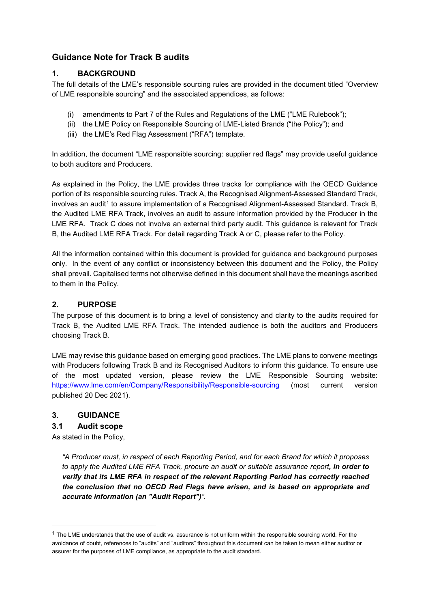# **Guidance Note for Track B audits**

## **1. BACKGROUND**

The full details of the LME's responsible sourcing rules are provided in the document titled "Overview of LME responsible sourcing" and the associated appendices, as follows:

- (i) amendments to Part 7 of the Rules and Regulations of the LME ("LME Rulebook");
- (ii) the LME Policy on Responsible Sourcing of LME-Listed Brands ("the Policy"); and
- (iii) the LME's Red Flag Assessment ("RFA") template.

In addition, the document "LME responsible sourcing: supplier red flags" may provide useful guidance to both auditors and Producers.

As explained in the Policy, the LME provides three tracks for compliance with the OECD Guidance portion of its responsible sourcing rules. Track A, the Recognised Alignment-Assessed Standard Track, involves an audit<sup>[1](#page-0-0)</sup> to assure implementation of a Recognised Alignment-Assessed Standard. Track B, the Audited LME RFA Track, involves an audit to assure information provided by the Producer in the LME RFA. Track C does not involve an external third party audit. This guidance is relevant for Track B, the Audited LME RFA Track. For detail regarding Track A or C, please refer to the Policy.

All the information contained within this document is provided for guidance and background purposes only. In the event of any conflict or inconsistency between this document and the Policy, the Policy shall prevail. Capitalised terms not otherwise defined in this document shall have the meanings ascribed to them in the Policy.

# **2. PURPOSE**

The purpose of this document is to bring a level of consistency and clarity to the audits required for Track B, the Audited LME RFA Track. The intended audience is both the auditors and Producers choosing Track B.

LME may revise this guidance based on emerging good practices. The LME plans to convene meetings with Producers following Track B and its Recognised Auditors to inform this guidance. To ensure use of the most updated version, please review the LME Responsible Sourcing website: <https://www.lme.com/en/Company/Responsibility/Responsible-sourcing> (most current version published 20 Dec 2021).

#### **3. GUIDANCE**

#### **3.1 Audit scope**

As stated in the Policy,

-

*"A Producer must, in respect of each Reporting Period, and for each Brand for which it proposes to apply the Audited LME RFA Track, procure an audit or suitable assurance report, in order to verify that its LME RFA in respect of the relevant Reporting Period has correctly reached the conclusion that no OECD Red Flags have arisen, and is based on appropriate and accurate information (an "Audit Report")".* 

<span id="page-0-0"></span> $1$  The LME understands that the use of audit vs. assurance is not uniform within the responsible sourcing world. For the avoidance of doubt, references to "audits" and "auditors" throughout this document can be taken to mean either auditor or assurer for the purposes of LME compliance, as appropriate to the audit standard.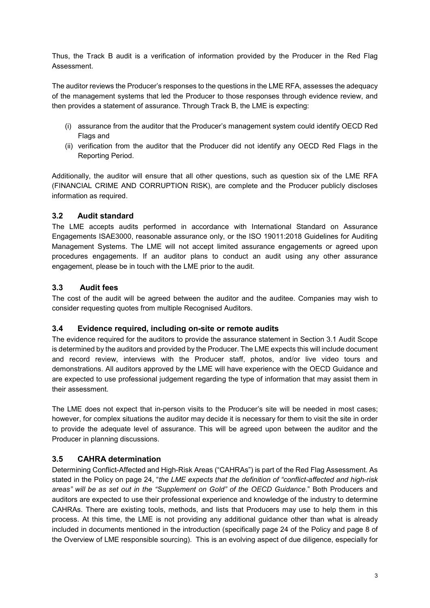Thus, the Track B audit is a verification of information provided by the Producer in the Red Flag Assessment.

The auditor reviews the Producer's responses to the questions in the LME RFA, assesses the adequacy of the management systems that led the Producer to those responses through evidence review, and then provides a statement of assurance. Through Track B, the LME is expecting:

- (i) assurance from the auditor that the Producer's management system could identify OECD Red Flags and
- (ii) verification from the auditor that the Producer did not identify any OECD Red Flags in the Reporting Period.

Additionally, the auditor will ensure that all other questions, such as question six of the LME RFA (FINANCIAL CRIME AND CORRUPTION RISK), are complete and the Producer publicly discloses information as required.

## **3.2 Audit standard**

The LME accepts audits performed in accordance with International Standard on Assurance Engagements ISAE3000, reasonable assurance only, or the ISO 19011:2018 Guidelines for Auditing Management Systems. The LME will not accept limited assurance engagements or agreed upon procedures engagements. If an auditor plans to conduct an audit using any other assurance engagement, please be in touch with the LME prior to the audit.

# **3.3 Audit fees**

The cost of the audit will be agreed between the auditor and the auditee. Companies may wish to consider requesting quotes from multiple Recognised Auditors.

#### **3.4 Evidence required, including on-site or remote audits**

The evidence required for the auditors to provide the assurance statement in Section 3.1 Audit Scope is determined by the auditors and provided by the Producer. The LME expects this will include document and record review, interviews with the Producer staff, photos, and/or live video tours and demonstrations. All auditors approved by the LME will have experience with the OECD Guidance and are expected to use professional judgement regarding the type of information that may assist them in their assessment.

The LME does not expect that in-person visits to the Producer's site will be needed in most cases; however, for complex situations the auditor may decide it is necessary for them to visit the site in order to provide the adequate level of assurance. This will be agreed upon between the auditor and the Producer in planning discussions.

#### **3.5 CAHRA determination**

Determining Conflict-Affected and High-Risk Areas ("CAHRAs") is part of the Red Flag Assessment. As stated in the Policy on page 24, "*the LME expects that the definition of "conflict-affected and high-risk areas" will be as set out in the "Supplement on Gold" of the OECD Guidance*." Both Producers and auditors are expected to use their professional experience and knowledge of the industry to determine CAHRAs. There are existing tools, methods, and lists that Producers may use to help them in this process. At this time, the LME is not providing any additional guidance other than what is already included in documents mentioned in the introduction (specifically page 24 of the Policy and page 8 of the Overview of LME responsible sourcing). This is an evolving aspect of due diligence, especially for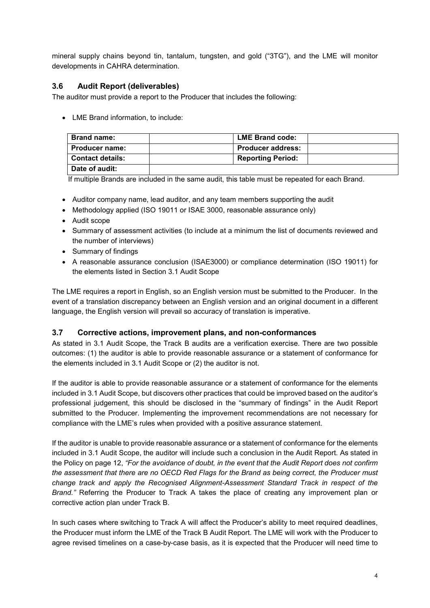mineral supply chains beyond tin, tantalum, tungsten, and gold ("3TG"), and the LME will monitor developments in CAHRA determination.

# **3.6 Audit Report (deliverables)**

The auditor must provide a report to the Producer that includes the following:

• LME Brand information, to include:

| <b>Brand name:</b>      | <b>LME Brand code:</b>   |
|-------------------------|--------------------------|
| <b>Producer name:</b>   | <b>Producer address:</b> |
| <b>Contact details:</b> | <b>Reporting Period:</b> |
| Date of audit:          |                          |

If multiple Brands are included in the same audit, this table must be repeated for each Brand.

- Auditor company name, lead auditor, and any team members supporting the audit
- Methodology applied (ISO 19011 or ISAE 3000, reasonable assurance only)
- Audit scope
- Summary of assessment activities (to include at a minimum the list of documents reviewed and the number of interviews)
- Summary of findings
- A reasonable assurance conclusion (ISAE3000) or compliance determination (ISO 19011) for the elements listed in Section 3.1 Audit Scope

The LME requires a report in English, so an English version must be submitted to the Producer. In the event of a translation discrepancy between an English version and an original document in a different language, the English version will prevail so accuracy of translation is imperative.

#### **3.7 Corrective actions, improvement plans, and non-conformances**

As stated in 3.1 Audit Scope, the Track B audits are a verification exercise. There are two possible outcomes: (1) the auditor is able to provide reasonable assurance or a statement of conformance for the elements included in 3.1 Audit Scope or (2) the auditor is not.

If the auditor is able to provide reasonable assurance or a statement of conformance for the elements included in 3.1 Audit Scope, but discovers other practices that could be improved based on the auditor's professional judgement, this should be disclosed in the "summary of findings" in the Audit Report submitted to the Producer. Implementing the improvement recommendations are not necessary for compliance with the LME's rules when provided with a positive assurance statement.

If the auditor is unable to provide reasonable assurance or a statement of conformance for the elements included in 3.1 Audit Scope, the auditor will include such a conclusion in the Audit Report. As stated in the Policy on page 12, *"For the avoidance of doubt, in the event that the Audit Report does not confirm the assessment that there are no OECD Red Flags for the Brand as being correct, the Producer must change track and apply the Recognised Alignment-Assessment Standard Track in respect of the Brand."* Referring the Producer to Track A takes the place of creating any improvement plan or corrective action plan under Track B.

In such cases where switching to Track A will affect the Producer's ability to meet required deadlines, the Producer must inform the LME of the Track B Audit Report. The LME will work with the Producer to agree revised timelines on a case-by-case basis, as it is expected that the Producer will need time to